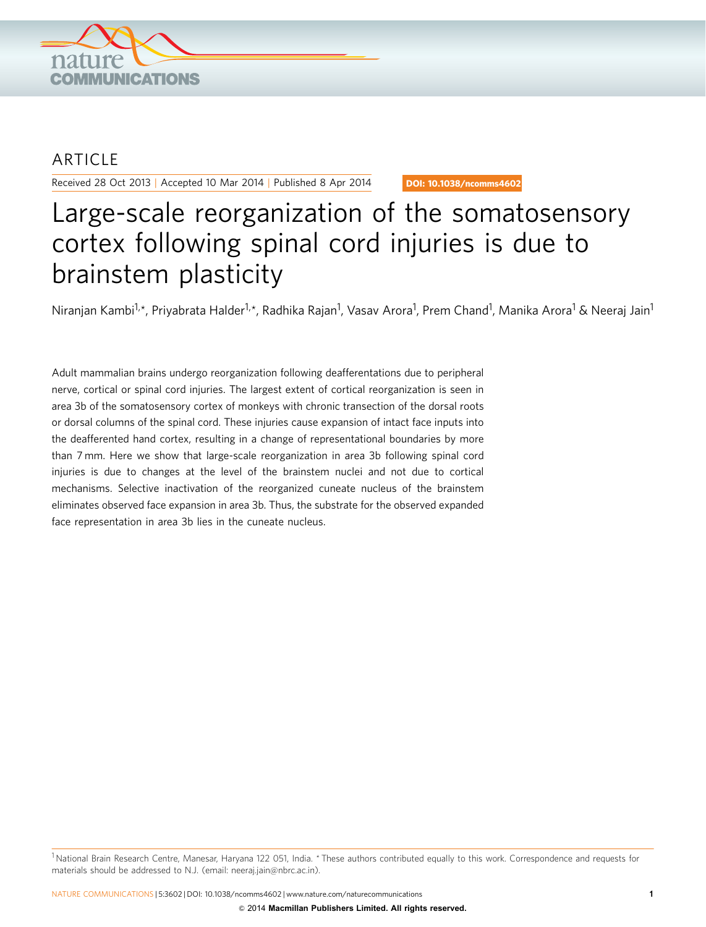

## **ARTICLE**

Received 28 Oct 2013 | Accepted 10 Mar 2014 | Published 8 Apr 2014

DOI: 10.1038/ncomms4602

# Large-scale reorganization of the somatosensory cortex following spinal cord injuries is due to brainstem plasticity

Niranjan Kambi<sup>1,</sup>\*, Priyabrata Halder<sup>1,</sup>\*, Radhika Rajan<sup>1</sup>, Vasav Arora<sup>1</sup>, Prem Chand<sup>1</sup>, Manika Arora<sup>1</sup> & Neeraj Jain<sup>1</sup>

Adult mammalian brains undergo reorganization following deafferentations due to peripheral nerve, cortical or spinal cord injuries. The largest extent of cortical reorganization is seen in area 3b of the somatosensory cortex of monkeys with chronic transection of the dorsal roots or dorsal columns of the spinal cord. These injuries cause expansion of intact face inputs into the deafferented hand cortex, resulting in a change of representational boundaries by more than 7 mm. Here we show that large-scale reorganization in area 3b following spinal cord injuries is due to changes at the level of the brainstem nuclei and not due to cortical mechanisms. Selective inactivation of the reorganized cuneate nucleus of the brainstem eliminates observed face expansion in area 3b. Thus, the substrate for the observed expanded face representation in area 3b lies in the cuneate nucleus.

<sup>&</sup>lt;sup>1</sup> National Brain Research Centre, Manesar, Haryana 122 051, India. \* These authors contributed equally to this work. Correspondence and requests for materials should be addressed to N.J. (email: neeraj.jain@nbrc.ac.in).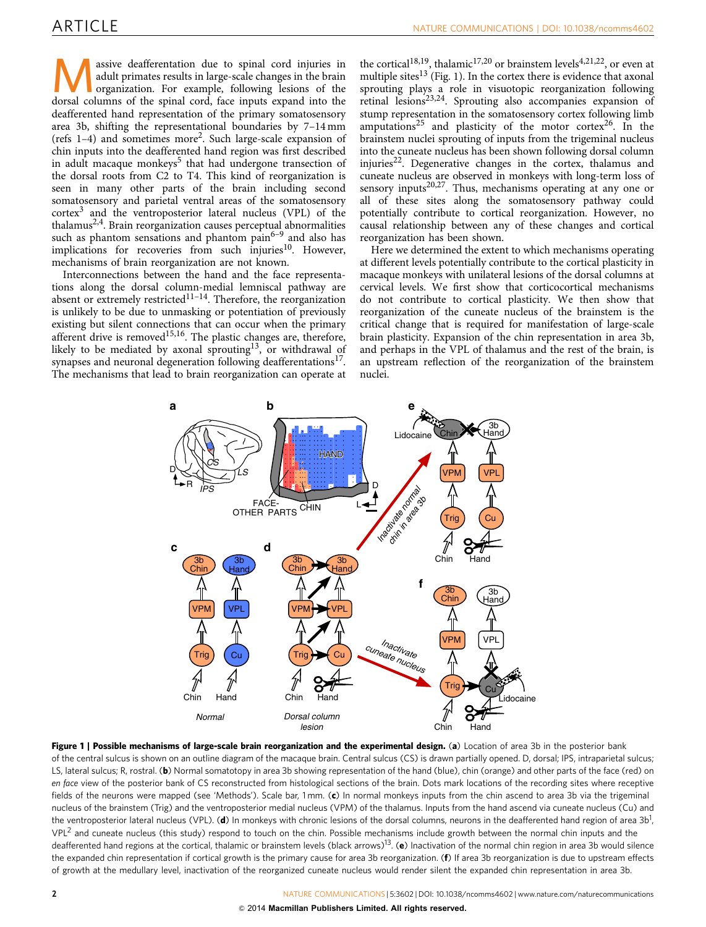M assive deafferentation due to spinal cord injuries in adult primates results in large-scale changes in the brain organization. For example, following lesions of the dorsal columns of the spinal cord, face inputs expand into the deafferented hand representation of the primary somatosensory area 3b, shifting the representational boundaries by 7–14 mm (refs 1–4) and sometimes more<sup>2</sup> . Such large-scale expansion of chin inputs into the deafferented hand region was first described in adult macaque monkeys<sup>5</sup> that had undergone transection of the dorsal roots from C2 to T4. This kind of reorganization is seen in many other parts of the brain including second somatosensory and parietal ventral areas of the somatosensory cortex<sup>3</sup> and the ventroposterior lateral nucleus (VPL) of the thalamus<sup>2,4</sup>. Brain reorganization causes perceptual abnormalities such as phantom sensations and phantom pain $6-9$  and also has implications for recoveries from such injuries $10$ . However, mechanisms of brain reorganization are not known.

Interconnections between the hand and the face representations along the dorsal column-medial lemniscal pathway are absent or extremely restricted<sup>11-14</sup>. Therefore, the reorganization is unlikely to be due to unmasking or potentiation of previously existing but silent connections that can occur when the primary afferent drive is removed<sup>15,16</sup>. The plastic changes are, therefore, likely to be mediated by axonal sprouting<sup>13</sup>, or withdrawal of synapses and neuronal degeneration following deafferentations<sup>17</sup>. The mechanisms that lead to brain reorganization can operate at

the cortical<sup>18,19</sup>, thalamic<sup>17,20</sup> or brainstem levels<sup>4,21,22</sup>, or even at multiple sites<sup>13</sup> (Fig. 1). In the cortex there is evidence that axonal sprouting plays a role in visuotopic reorganization following retinal lesions<sup>23,24</sup>. Sprouting also accompanies expansion of stump representation in the somatosensory cortex following limb amputations<sup>25</sup> and plasticity of the motor cortex<sup>26</sup>. In the brainstem nuclei sprouting of inputs from the trigeminal nucleus into the cuneate nucleus has been shown following dorsal column injuries<sup>22</sup>. Degenerative changes in the cortex, thalamus and cuneate nucleus are observed in monkeys with long-term loss of sensory inputs<sup>20,27</sup>. Thus, mechanisms operating at any one or all of these sites along the somatosensory pathway could potentially contribute to cortical reorganization. However, no causal relationship between any of these changes and cortical reorganization has been shown.

Here we determined the extent to which mechanisms operating at different levels potentially contribute to the cortical plasticity in macaque monkeys with unilateral lesions of the dorsal columns at cervical levels. We first show that corticocortical mechanisms do not contribute to cortical plasticity. We then show that reorganization of the cuneate nucleus of the brainstem is the critical change that is required for manifestation of large-scale brain plasticity. Expansion of the chin representation in area 3b, and perhaps in the VPL of thalamus and the rest of the brain, is an upstream reflection of the reorganization of the brainstem nuclei.



Figure 1 | Possible mechanisms of large-scale brain reorganization and the experimental design. (a) Location of area 3b in the posterior bank of the central sulcus is shown on an outline diagram of the macaque brain. Central sulcus (CS) is drawn partially opened. D, dorsal; IPS, intraparietal sulcus; LS, lateral sulcus; R, rostral. (b) Normal somatotopy in area 3b showing representation of the hand (blue), chin (orange) and other parts of the face (red) on en face view of the posterior bank of CS reconstructed from histological sections of the brain. Dots mark locations of the recording sites where receptive fields of the neurons were mapped (see 'Methods'). Scale bar, 1 mm. (c) In normal monkeys inputs from the chin ascend to area 3b via the trigeminal nucleus of the brainstem (Trig) and the ventroposterior medial nucleus (VPM) of the thalamus. Inputs from the hand ascend via cuneate nucleus (Cu) and the ventroposterior lateral nucleus (VPL). (**d**) In monkeys with chronic lesions of the dorsal columns, neurons in the deafferented hand region of area 3b<sup>1</sup>,  $VPL^2$  and cuneate nucleus (this study) respond to touch on the chin. Possible mechanisms include growth between the normal chin inputs and the deafferented hand regions at the cortical, thalamic or brainstem levels (black arrows)<sup>13</sup>. (e) Inactivation of the normal chin region in area 3b would silence the expanded chin representation if cortical growth is the primary cause for area 3b reorganization. (f) If area 3b reorganization is due to upstream effects of growth at the medullary level, inactivation of the reorganized cuneate nucleus would render silent the expanded chin representation in area 3b.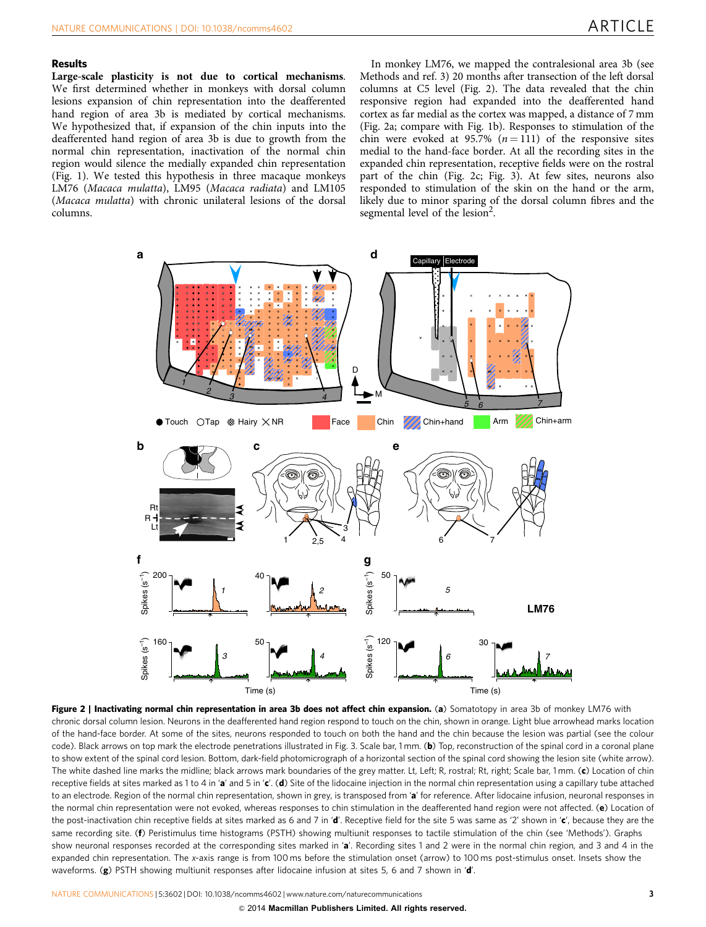### Results

Large-scale plasticity is not due to cortical mechanisms. We first determined whether in monkeys with dorsal column lesions expansion of chin representation into the deafferented hand region of area 3b is mediated by cortical mechanisms. We hypothesized that, if expansion of the chin inputs into the deafferented hand region of area 3b is due to growth from the normal chin representation, inactivation of the normal chin region would silence the medially expanded chin representation (Fig. 1). We tested this hypothesis in three macaque monkeys LM76 (Macaca mulatta), LM95 (Macaca radiata) and LM105 (Macaca mulatta) with chronic unilateral lesions of the dorsal columns.

In monkey LM76, we mapped the contralesional area 3b (see Methods and ref. 3) 20 months after transection of the left dorsal columns at C5 level (Fig. 2). The data revealed that the chin responsive region had expanded into the deafferented hand cortex as far medial as the cortex was mapped, a distance of 7 mm (Fig. 2a; compare with Fig. 1b). Responses to stimulation of the chin were evoked at 95.7%  $(n = 111)$  of the responsive sites medial to the hand-face border. At all the recording sites in the expanded chin representation, receptive fields were on the rostral part of the chin (Fig. 2c; Fig. 3). At few sites, neurons also responded to stimulation of the skin on the hand or the arm, likely due to minor sparing of the dorsal column fibres and the segmental level of the lesion<sup>2</sup>.



Figure 2 | Inactivating normal chin representation in area 3b does not affect chin expansion. (a) Somatotopy in area 3b of monkey LM76 with chronic dorsal column lesion. Neurons in the deafferented hand region respond to touch on the chin, shown in orange. Light blue arrowhead marks location of the hand-face border. At some of the sites, neurons responded to touch on both the hand and the chin because the lesion was partial (see the colour code). Black arrows on top mark the electrode penetrations illustrated in Fig. 3. Scale bar, 1 mm. (b) Top, reconstruction of the spinal cord in a coronal plane to show extent of the spinal cord lesion. Bottom, dark-field photomicrograph of a horizontal section of the spinal cord showing the lesion site (white arrow). The white dashed line marks the midline; black arrows mark boundaries of the grey matter. Lt, Left; R, rostral; Rt, right; Scale bar, 1 mm. (c) Location of chin receptive fields at sites marked as 1 to 4 in 'a' and 5 in 'c'. (d) Site of the lidocaine injection in the normal chin representation using a capillary tube attached to an electrode. Region of the normal chin representation, shown in grey, is transposed from 'a' for reference. After lidocaine infusion, neuronal responses in the normal chin representation were not evoked, whereas responses to chin stimulation in the deafferented hand region were not affected. (e) Location of the post-inactivation chin receptive fields at sites marked as 6 and 7 in 'd'. Receptive field for the site 5 was same as '2' shown in 'c', because they are the same recording site. (f) Peristimulus time histograms (PSTH) showing multiunit responses to tactile stimulation of the chin (see 'Methods'). Graphs show neuronal responses recorded at the corresponding sites marked in 'a'. Recording sites 1 and 2 were in the normal chin region, and 3 and 4 in the expanded chin representation. The x-axis range is from 100 ms before the stimulation onset (arrow) to 100 ms post-stimulus onset. Insets show the waveforms. (g) PSTH showing multiunit responses after lidocaine infusion at sites 5, 6 and 7 shown in 'd'.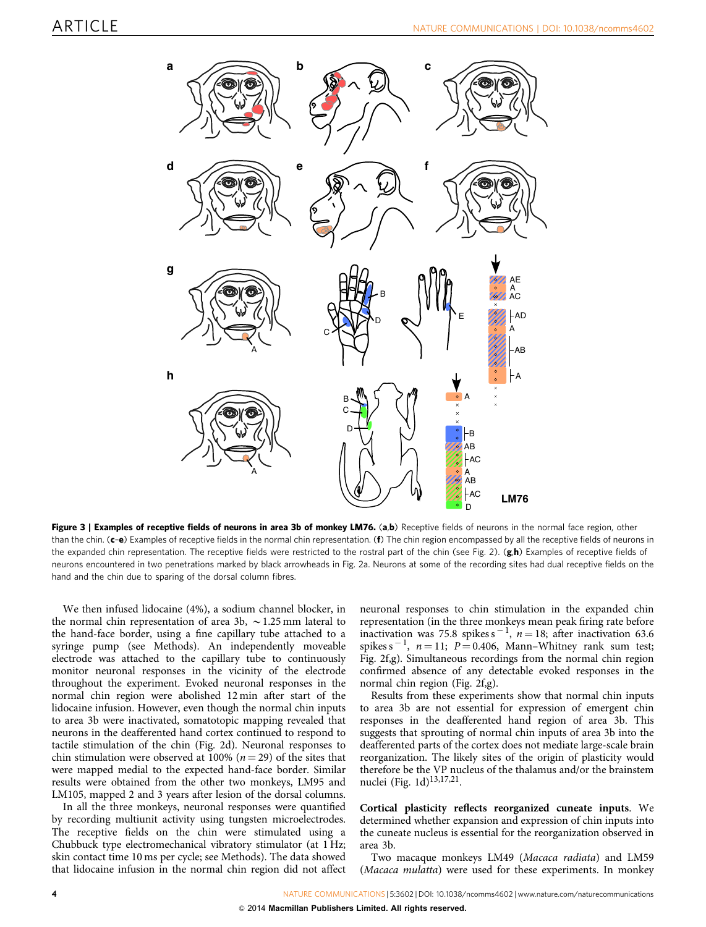

Figure 3 | Examples of receptive fields of neurons in area 3b of monkey LM76. (a,b) Receptive fields of neurons in the normal face region, other than the chin. (c-e) Examples of receptive fields in the normal chin representation. (f) The chin region encompassed by all the receptive fields of neurons in the expanded chin representation. The receptive fields were restricted to the rostral part of the chin (see Fig. 2). (g,h) Examples of receptive fields of neurons encountered in two penetrations marked by black arrowheads in Fig. 2a. Neurons at some of the recording sites had dual receptive fields on the hand and the chin due to sparing of the dorsal column fibres.

We then infused lidocaine (4%), a sodium channel blocker, in the normal chin representation of area 3b,  $\sim$  1.25 mm lateral to the hand-face border, using a fine capillary tube attached to a syringe pump (see Methods). An independently moveable electrode was attached to the capillary tube to continuously monitor neuronal responses in the vicinity of the electrode throughout the experiment. Evoked neuronal responses in the normal chin region were abolished 12 min after start of the lidocaine infusion. However, even though the normal chin inputs to area 3b were inactivated, somatotopic mapping revealed that neurons in the deafferented hand cortex continued to respond to tactile stimulation of the chin (Fig. 2d). Neuronal responses to chin stimulation were observed at 100% ( $n = 29$ ) of the sites that were mapped medial to the expected hand-face border. Similar results were obtained from the other two monkeys, LM95 and LM105, mapped 2 and 3 years after lesion of the dorsal columns.

In all the three monkeys, neuronal responses were quantified by recording multiunit activity using tungsten microelectrodes. The receptive fields on the chin were stimulated using a Chubbuck type electromechanical vibratory stimulator (at 1 Hz; skin contact time 10 ms per cycle; see Methods). The data showed that lidocaine infusion in the normal chin region did not affect neuronal responses to chin stimulation in the expanded chin representation (in the three monkeys mean peak firing rate before inactivation was 75.8 spikes  $s^{-1}$ ,  $n = 18$ ; after inactivation 63.6 spikes  $s^{-1}$ ,  $n = 11$ ;  $P = 0.406$ , Mann–Whitney rank sum test; Fig. 2f,g). Simultaneous recordings from the normal chin region confirmed absence of any detectable evoked responses in the normal chin region (Fig. 2f,g).

Results from these experiments show that normal chin inputs to area 3b are not essential for expression of emergent chin responses in the deafferented hand region of area 3b. This suggests that sprouting of normal chin inputs of area 3b into the deafferented parts of the cortex does not mediate large-scale brain reorganization. The likely sites of the origin of plasticity would therefore be the VP nucleus of the thalamus and/or the brainstem nuclei (Fig. 1d)<sup>13,17,21</sup>.

Cortical plasticity reflects reorganized cuneate inputs. We determined whether expansion and expression of chin inputs into the cuneate nucleus is essential for the reorganization observed in area 3b.

Two macaque monkeys LM49 (Macaca radiata) and LM59 (Macaca mulatta) were used for these experiments. In monkey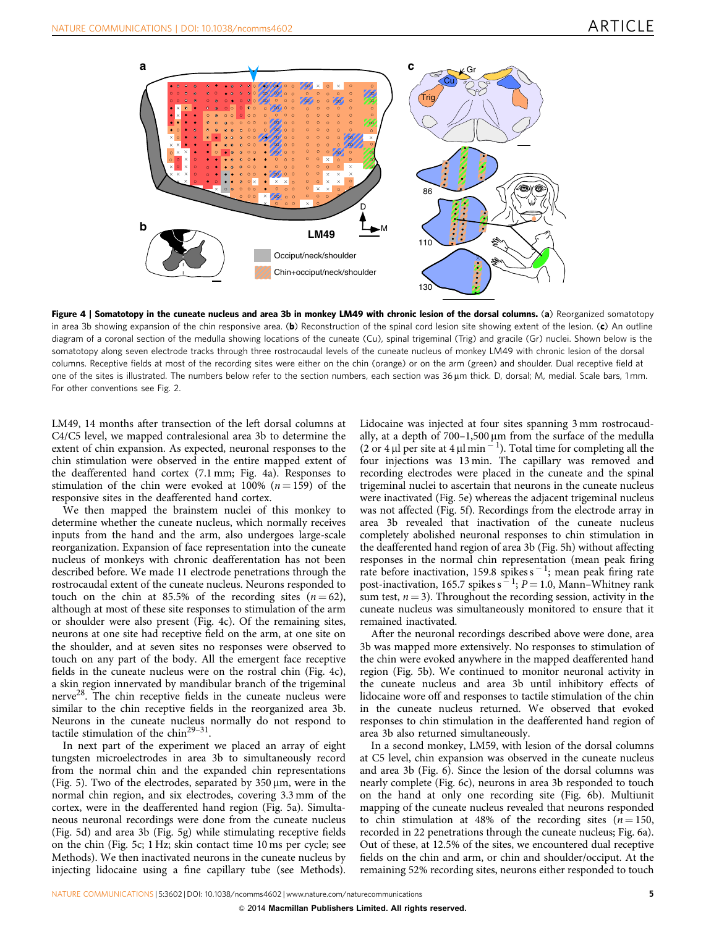

Figure 4 | Somatotopy in the cuneate nucleus and area 3b in monkey LM49 with chronic lesion of the dorsal columns. (a) Reorganized somatotopy in area 3b showing expansion of the chin responsive area. (b) Reconstruction of the spinal cord lesion site showing extent of the lesion. (c) An outline diagram of a coronal section of the medulla showing locations of the cuneate (Cu), spinal trigeminal (Trig) and gracile (Gr) nuclei. Shown below is the somatotopy along seven electrode tracks through three rostrocaudal levels of the cuneate nucleus of monkey LM49 with chronic lesion of the dorsal columns. Receptive fields at most of the recording sites were either on the chin (orange) or on the arm (green) and shoulder. Dual receptive field at one of the sites is illustrated. The numbers below refer to the section numbers, each section was 36 µm thick. D, dorsal; M, medial. Scale bars, 1 mm. For other conventions see Fig. 2.

LM49, 14 months after transection of the left dorsal columns at C4/C5 level, we mapped contralesional area 3b to determine the extent of chin expansion. As expected, neuronal responses to the chin stimulation were observed in the entire mapped extent of the deafferented hand cortex (7.1 mm; Fig. 4a). Responses to stimulation of the chin were evoked at 100% ( $n = 159$ ) of the responsive sites in the deafferented hand cortex.

We then mapped the brainstem nuclei of this monkey to determine whether the cuneate nucleus, which normally receives inputs from the hand and the arm, also undergoes large-scale reorganization. Expansion of face representation into the cuneate nucleus of monkeys with chronic deafferentation has not been described before. We made 11 electrode penetrations through the rostrocaudal extent of the cuneate nucleus. Neurons responded to touch on the chin at 85.5% of the recording sites  $(n = 62)$ , although at most of these site responses to stimulation of the arm or shoulder were also present (Fig. 4c). Of the remaining sites, neurons at one site had receptive field on the arm, at one site on the shoulder, and at seven sites no responses were observed to touch on any part of the body. All the emergent face receptive fields in the cuneate nucleus were on the rostral chin (Fig. 4c), a skin region innervated by mandibular branch of the trigeminal nerve<sup>28</sup>. The chin receptive fields in the cuneate nucleus were similar to the chin receptive fields in the reorganized area 3b. Neurons in the cuneate nucleus normally do not respond to tactile stimulation of the chin<sup>29-31</sup>.

In next part of the experiment we placed an array of eight tungsten microelectrodes in area 3b to simultaneously record from the normal chin and the expanded chin representations (Fig. 5). Two of the electrodes, separated by  $350 \,\mu m$ , were in the normal chin region, and six electrodes, covering 3.3 mm of the cortex, were in the deafferented hand region (Fig. 5a). Simultaneous neuronal recordings were done from the cuneate nucleus (Fig. 5d) and area 3b (Fig. 5g) while stimulating receptive fields on the chin (Fig. 5c; 1 Hz; skin contact time 10 ms per cycle; see Methods). We then inactivated neurons in the cuneate nucleus by injecting lidocaine using a fine capillary tube (see Methods).

Lidocaine was injected at four sites spanning 3 mm rostrocaudally, at a depth of  $700-1,500 \,\mu m$  from the surface of the medulla (2 or 4  $\mu$  per site at 4  $\mu$  min<sup>-1</sup>). Total time for completing all the four injections was 13 min. The capillary was removed and recording electrodes were placed in the cuneate and the spinal trigeminal nuclei to ascertain that neurons in the cuneate nucleus were inactivated (Fig. 5e) whereas the adjacent trigeminal nucleus was not affected (Fig. 5f). Recordings from the electrode array in area 3b revealed that inactivation of the cuneate nucleus completely abolished neuronal responses to chin stimulation in the deafferented hand region of area 3b (Fig. 5h) without affecting responses in the normal chin representation (mean peak firing rate before inactivation,  $159.8$  spikes  $s^{-1}$ ; mean peak firing rate post-inactivation, 165.7 spikes  $s^{-1}$ ;  $P = 1.0$ , Mann–Whitney rank sum test,  $n = 3$ ). Throughout the recording session, activity in the cuneate nucleus was simultaneously monitored to ensure that it remained inactivated.

After the neuronal recordings described above were done, area 3b was mapped more extensively. No responses to stimulation of the chin were evoked anywhere in the mapped deafferented hand region (Fig. 5b). We continued to monitor neuronal activity in the cuneate nucleus and area 3b until inhibitory effects of lidocaine wore off and responses to tactile stimulation of the chin in the cuneate nucleus returned. We observed that evoked responses to chin stimulation in the deafferented hand region of area 3b also returned simultaneously.

In a second monkey, LM59, with lesion of the dorsal columns at C5 level, chin expansion was observed in the cuneate nucleus and area 3b (Fig. 6). Since the lesion of the dorsal columns was nearly complete (Fig. 6c), neurons in area 3b responded to touch on the hand at only one recording site (Fig. 6b). Multiunit mapping of the cuneate nucleus revealed that neurons responded to chin stimulation at 48% of the recording sites ( $n = 150$ , recorded in 22 penetrations through the cuneate nucleus; Fig. 6a). Out of these, at 12.5% of the sites, we encountered dual receptive fields on the chin and arm, or chin and shoulder/occiput. At the remaining 52% recording sites, neurons either responded to touch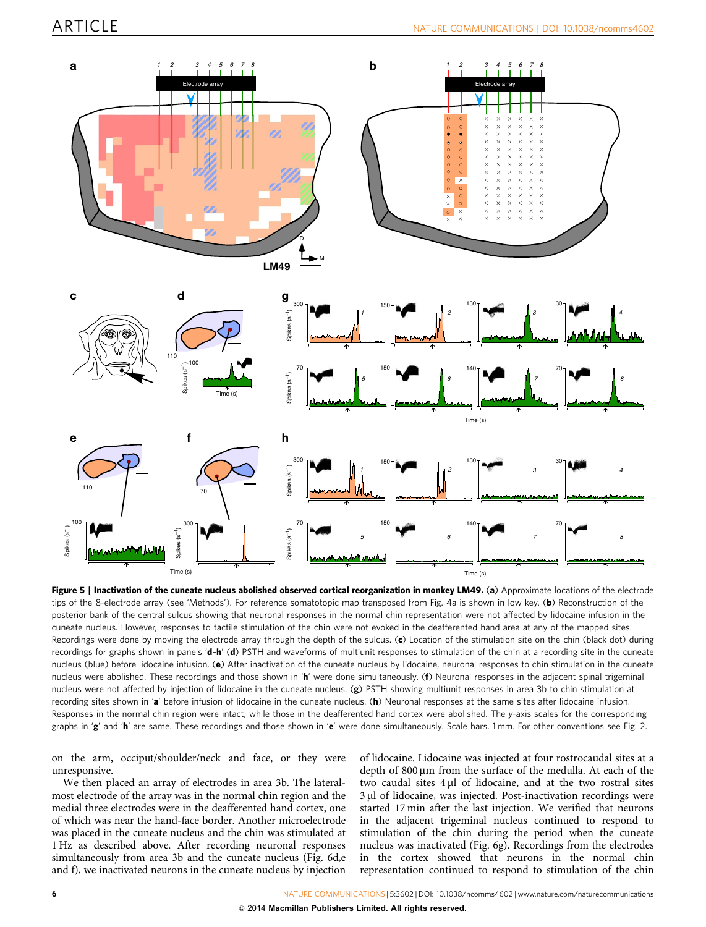

Figure 5 | Inactivation of the cuneate nucleus abolished observed cortical reorganization in monkey LM49. (a) Approximate locations of the electrode tips of the 8-electrode array (see 'Methods'). For reference somatotopic map transposed from Fig. 4a is shown in low key. (b) Reconstruction of the posterior bank of the central sulcus showing that neuronal responses in the normal chin representation were not affected by lidocaine infusion in the cuneate nucleus. However, responses to tactile stimulation of the chin were not evoked in the deafferented hand area at any of the mapped sites. Recordings were done by moving the electrode array through the depth of the sulcus. (c) Location of the stimulation site on the chin (black dot) during recordings for graphs shown in panels 'd-h' (d) PSTH and waveforms of multiunit responses to stimulation of the chin at a recording site in the cuneate nucleus (blue) before lidocaine infusion. (e) After inactivation of the cuneate nucleus by lidocaine, neuronal responses to chin stimulation in the cuneate nucleus were abolished. These recordings and those shown in 'h' were done simultaneously. (f) Neuronal responses in the adjacent spinal trigeminal nucleus were not affected by injection of lidocaine in the cuneate nucleus. (g) PSTH showing multiunit responses in area 3b to chin stimulation at recording sites shown in 'a' before infusion of lidocaine in the cuneate nucleus. (h) Neuronal responses at the same sites after lidocaine infusion. Responses in the normal chin region were intact, while those in the deafferented hand cortex were abolished. The y-axis scales for the corresponding graphs in 'g' and 'h' are same. These recordings and those shown in 'e' were done simultaneously. Scale bars, 1 mm. For other conventions see Fig. 2.

on the arm, occiput/shoulder/neck and face, or they were unresponsive.

We then placed an array of electrodes in area 3b. The lateralmost electrode of the array was in the normal chin region and the medial three electrodes were in the deafferented hand cortex, one of which was near the hand-face border. Another microelectrode was placed in the cuneate nucleus and the chin was stimulated at 1 Hz as described above. After recording neuronal responses simultaneously from area 3b and the cuneate nucleus (Fig. 6d,e and f), we inactivated neurons in the cuneate nucleus by injection

of lidocaine. Lidocaine was injected at four rostrocaudal sites at a depth of  $800 \mu m$  from the surface of the medulla. At each of the two caudal sites 4 µl of lidocaine, and at the two rostral sites 3 µl of lidocaine, was injected. Post-inactivation recordings were started 17 min after the last injection. We verified that neurons in the adjacent trigeminal nucleus continued to respond to stimulation of the chin during the period when the cuneate nucleus was inactivated (Fig. 6g). Recordings from the electrodes in the cortex showed that neurons in the normal chin representation continued to respond to stimulation of the chin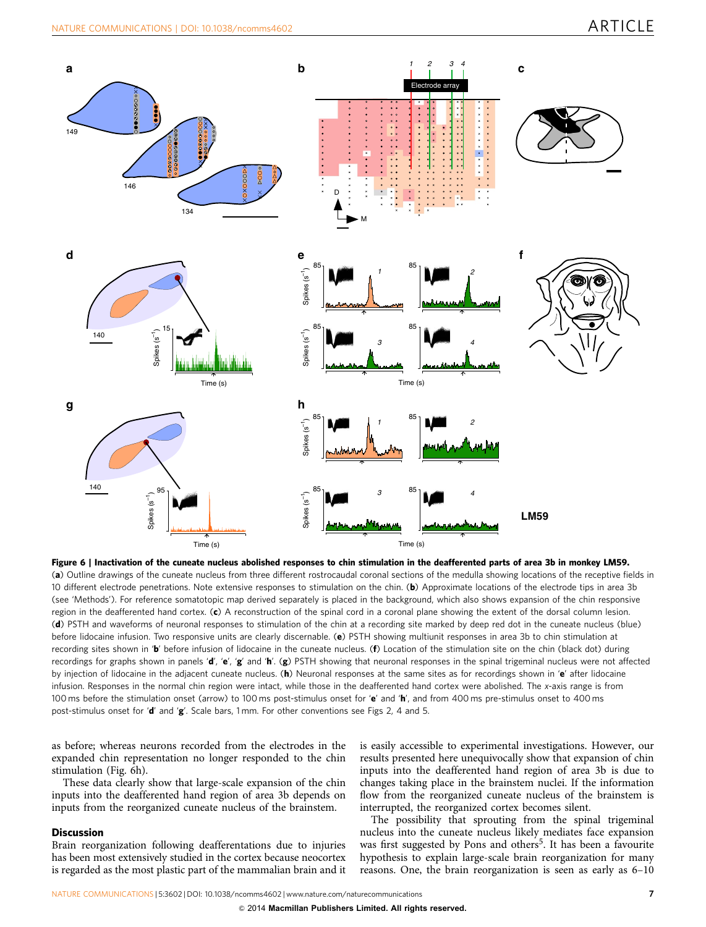

Figure 6 | Inactivation of the cuneate nucleus abolished responses to chin stimulation in the deafferented parts of area 3b in monkey LM59. (a) Outline drawings of the cuneate nucleus from three different rostrocaudal coronal sections of the medulla showing locations of the receptive fields in 10 different electrode penetrations. Note extensive responses to stimulation on the chin. (b) Approximate locations of the electrode tips in area 3b (see 'Methods'). For reference somatotopic map derived separately is placed in the background, which also shows expansion of the chin responsive region in the deafferented hand cortex. (c) A reconstruction of the spinal cord in a coronal plane showing the extent of the dorsal column lesion. (d) PSTH and waveforms of neuronal responses to stimulation of the chin at a recording site marked by deep red dot in the cuneate nucleus (blue) before lidocaine infusion. Two responsive units are clearly discernable. (e) PSTH showing multiunit responses in area 3b to chin stimulation at recording sites shown in 'b' before infusion of lidocaine in the cuneate nucleus. (f) Location of the stimulation site on the chin (black dot) during recordings for graphs shown in panels 'd', 'e', 'g' and 'h'.  $(g)$  PSTH showing that neuronal responses in the spinal trigeminal nucleus were not affected by injection of lidocaine in the adjacent cuneate nucleus. (h) Neuronal responses at the same sites as for recordings shown in 'e' after lidocaine infusion. Responses in the normal chin region were intact, while those in the deafferented hand cortex were abolished. The x-axis range is from 100 ms before the stimulation onset (arrow) to 100 ms post-stimulus onset for 'e' and 'h', and from 400 ms pre-stimulus onset to 400 ms post-stimulus onset for 'd' and 'g'. Scale bars, 1 mm. For other conventions see Figs 2, 4 and 5.

as before; whereas neurons recorded from the electrodes in the expanded chin representation no longer responded to the chin stimulation (Fig. 6h).

These data clearly show that large-scale expansion of the chin inputs into the deafferented hand region of area 3b depends on inputs from the reorganized cuneate nucleus of the brainstem.

#### **Discussion**

Brain reorganization following deafferentations due to injuries has been most extensively studied in the cortex because neocortex is regarded as the most plastic part of the mammalian brain and it is easily accessible to experimental investigations. However, our results presented here unequivocally show that expansion of chin inputs into the deafferented hand region of area 3b is due to changes taking place in the brainstem nuclei. If the information flow from the reorganized cuneate nucleus of the brainstem is interrupted, the reorganized cortex becomes silent.

The possibility that sprouting from the spinal trigeminal nucleus into the cuneate nucleus likely mediates face expansion was first suggested by Pons and others<sup>5</sup>. It has been a favourite hypothesis to explain large-scale brain reorganization for many reasons. One, the brain reorganization is seen as early as 6–10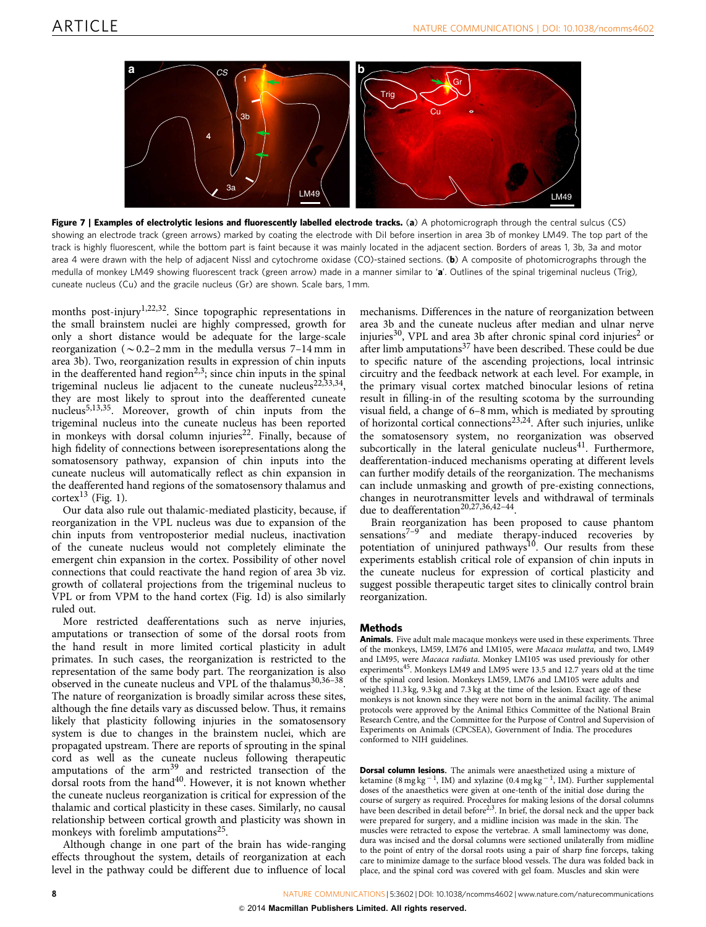

Figure 7 | Examples of electrolytic lesions and fluorescently labelled electrode tracks. (a) A photomicrograph through the central sulcus (CS) showing an electrode track (green arrows) marked by coating the electrode with DiI before insertion in area 3b of monkey LM49. The top part of the track is highly fluorescent, while the bottom part is faint because it was mainly located in the adjacent section. Borders of areas 1, 3b, 3a and motor area 4 were drawn with the help of adjacent Nissl and cytochrome oxidase (CO)-stained sections. (b) A composite of photomicrographs through the medulla of monkey LM49 showing fluorescent track (green arrow) made in a manner similar to 'a'. Outlines of the spinal trigeminal nucleus (Trig), cuneate nucleus (Cu) and the gracile nucleus (Gr) are shown. Scale bars, 1 mm.

months post-injury<sup>1,22,32</sup>. Since topographic representations in the small brainstem nuclei are highly compressed, growth for only a short distance would be adequate for the large-scale reorganization ( $\sim$  0.2–2 mm in the medulla versus 7–14 mm in area 3b). Two, reorganization results in expression of chin inputs in the deafferented hand region<sup>2,3</sup>; since chin inputs in the spinal trigeminal nucleus lie adjacent to the cuneate nucleus<sup>22,33,34</sup>, they are most likely to sprout into the deafferented cuneate nucleus<sup>5,13,35</sup>. Moreover, growth of chin inputs from the trigeminal nucleus into the cuneate nucleus has been reported in monkeys with dorsal column injuries<sup>22</sup>. Finally, because of high fidelity of connections between isorepresentations along the somatosensory pathway, expansion of chin inputs into the cuneate nucleus will automatically reflect as chin expansion in the deafferented hand regions of the somatosensory thalamus and cortex<sup>13</sup> (Fig. 1).

Our data also rule out thalamic-mediated plasticity, because, if reorganization in the VPL nucleus was due to expansion of the chin inputs from ventroposterior medial nucleus, inactivation of the cuneate nucleus would not completely eliminate the emergent chin expansion in the cortex. Possibility of other novel connections that could reactivate the hand region of area 3b viz. growth of collateral projections from the trigeminal nucleus to VPL or from VPM to the hand cortex (Fig. 1d) is also similarly ruled out.

More restricted deafferentations such as nerve injuries, amputations or transection of some of the dorsal roots from the hand result in more limited cortical plasticity in adult primates. In such cases, the reorganization is restricted to the representation of the same body part. The reorganization is also observed in the cuneate nucleus and VPL of the thalamus<sup>30,36-38</sup>. The nature of reorganization is broadly similar across these sites, although the fine details vary as discussed below. Thus, it remains likely that plasticity following injuries in the somatosensory system is due to changes in the brainstem nuclei, which are propagated upstream. There are reports of sprouting in the spinal cord as well as the cuneate nucleus following therapeutic amputations of the  $arm^{39}$  and restricted transection of the dorsal roots from the hand<sup>40</sup>. However, it is not known whether the cuneate nucleus reorganization is critical for expression of the thalamic and cortical plasticity in these cases. Similarly, no causal relationship between cortical growth and plasticity was shown in monkeys with forelimb amputations<sup>25</sup>.

Although change in one part of the brain has wide-ranging effects throughout the system, details of reorganization at each level in the pathway could be different due to influence of local

mechanisms. Differences in the nature of reorganization between area 3b and the cuneate nucleus after median and ulnar nerve injuries<sup>30</sup>, VPL and area 3b after chronic spinal cord injuries<sup>2</sup> or after limb amputations<sup>37</sup> have been described. These could be due to specific nature of the ascending projections, local intrinsic circuitry and the feedback network at each level. For example, in the primary visual cortex matched binocular lesions of retina result in filling-in of the resulting scotoma by the surrounding visual field, a change of 6–8 mm, which is mediated by sprouting of horizontal cortical connections<sup>23,24</sup>. After such injuries, unlike the somatosensory system, no reorganization was observed subcortically in the lateral geniculate nucleus $41$ . Furthermore, deafferentation-induced mechanisms operating at different levels can further modify details of the reorganization. The mechanisms can include unmasking and growth of pre-existing connections, changes in neurotransmitter levels and withdrawal of terminals due to deafferentation<sup>20,27,36,42-44</sup>.

Brain reorganization has been proposed to cause phantom sensations $7-9$  and mediate therapy-induced recoveries by potentiation of uninjured pathways<sup>10</sup>. Our results from these experiments establish critical role of expansion of chin inputs in the cuneate nucleus for expression of cortical plasticity and suggest possible therapeutic target sites to clinically control brain reorganization.

#### Methods

Animals. Five adult male macaque monkeys were used in these experiments. Three of the monkeys, LM59, LM76 and LM105, were Macaca mulatta, and two, LM49 and LM95, were Macaca radiata. Monkey LM105 was used previously for other experiments<sup>45</sup>. Monkeys LM49 and LM95 were 13.5 and 12.7 years old at the time of the spinal cord lesion. Monkeys LM59, LM76 and LM105 were adults and weighed 11.3 kg, 9.3 kg and 7.3 kg at the time of the lesion. Exact age of these monkeys is not known since they were not born in the animal facility. The animal protocols were approved by the Animal Ethics Committee of the National Brain Research Centre, and the Committee for the Purpose of Control and Supervision of Experiments on Animals (CPCSEA), Government of India. The procedures conformed to NIH guidelines.

Dorsal column lesions. The animals were anaesthetized using a mixture of ketamine  $(8 \text{ mg kg}^{-1}, \text{IM})$  and xylazine  $(0.4 \text{ mg kg}^{-1}, \text{IM})$ . Further supplemental doses of the anaesthetics were given at one-tenth of the initial dose during the course of surgery as required. Procedures for making lesions of the dorsal columns have been described in detail before<sup>2,3</sup>. In brief, the dorsal neck and the upper back were prepared for surgery, and a midline incision was made in the skin. The muscles were retracted to expose the vertebrae. A small laminectomy was done, dura was incised and the dorsal columns were sectioned unilaterally from midline to the point of entry of the dorsal roots using a pair of sharp fine forceps, taking care to minimize damage to the surface blood vessels. The dura was folded back in place, and the spinal cord was covered with gel foam. Muscles and skin were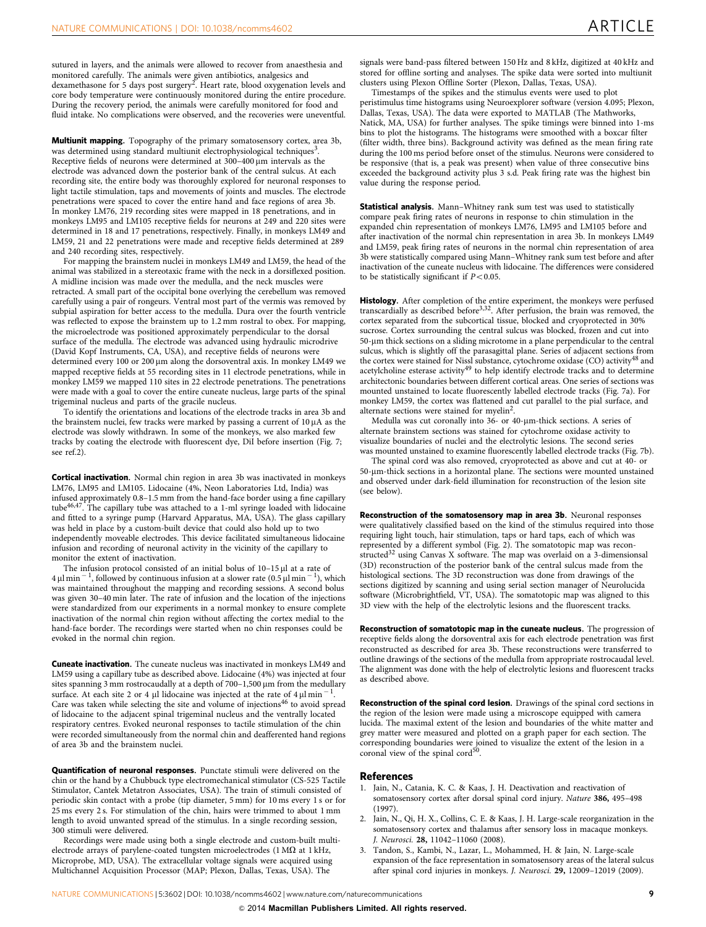sutured in layers, and the animals were allowed to recover from anaesthesia and monitored carefully. The animals were given antibiotics, analgesics and<br>dexamethasone for 5 days post surgery<sup>2</sup>. Heart rate, blood oxygenation levels and core body temperature were continuously monitored during the entire procedure. During the recovery period, the animals were carefully monitored for food and fluid intake. No complications were observed, and the recoveries were uneventful.

Multiunit mapping. Topography of the primary somatosensory cortex, area 3b, was determined using standard multiunit electrophysiological techniques<sup>3</sup>. Receptive fields of neurons were determined at 300–400 um intervals as the electrode was advanced down the posterior bank of the central sulcus. At each recording site, the entire body was thoroughly explored for neuronal responses to light tactile stimulation, taps and movements of joints and muscles. The electrode penetrations were spaced to cover the entire hand and face regions of area 3b. In monkey LM76, 219 recording sites were mapped in 18 penetrations, and in monkeys LM95 and LM105 receptive fields for neurons at 249 and 220 sites were determined in 18 and 17 penetrations, respectively. Finally, in monkeys LM49 and LM59, 21 and 22 penetrations were made and receptive fields determined at 289 and 240 recording sites, respectively.

For mapping the brainstem nuclei in monkeys LM49 and LM59, the head of the animal was stabilized in a stereotaxic frame with the neck in a dorsiflexed position. A midline incision was made over the medulla, and the neck muscles were retracted. A small part of the occipital bone overlying the cerebellum was removed carefully using a pair of rongeurs. Ventral most part of the vermis was removed by subpial aspiration for better access to the medulla. Dura over the fourth ventricle was reflected to expose the brainstem up to 1.2 mm rostral to obex. For mapping, the microelectrode was positioned approximately perpendicular to the dorsal surface of the medulla. The electrode was advanced using hydraulic microdrive (David Kopf Instruments, CA, USA), and receptive fields of neurons were determined every 100 or 200 µm along the dorsoventral axis. In monkey LM49 we mapped receptive fields at 55 recording sites in 11 electrode penetrations, while in monkey LM59 we mapped 110 sites in 22 electrode penetrations. The penetrations were made with a goal to cover the entire cuneate nucleus, large parts of the spinal trigeminal nucleus and parts of the gracile nucleus.

To identify the orientations and locations of the electrode tracks in area 3b and the brainstem nuclei, few tracks were marked by passing a current of  $10 \mu A$  as the electrode was slowly withdrawn. In some of the monkeys, we also marked few tracks by coating the electrode with fluorescent dye, DiI before insertion (Fig. 7; see ref.2).

Cortical inactivation. Normal chin region in area 3b was inactivated in monkeys LM76, LM95 and LM105. Lidocaine (4%, Neon Laboratories Ltd, India) was infused approximately 0.8–1.5 mm from the hand-face border using a fine capillary tube46,47. The capillary tube was attached to a 1-ml syringe loaded with lidocaine and fitted to a syringe pump (Harvard Apparatus, MA, USA). The glass capillary was held in place by a custom-built device that could also hold up to two independently moveable electrodes. This device facilitated simultaneous lidocaine infusion and recording of neuronal activity in the vicinity of the capillary to monitor the extent of inactivation.

The infusion protocol consisted of an initial bolus of  $10-15$   $\mu$ l at a rate of  $4 \mu$  min<sup>-1</sup>, followed by continuous infusion at a slower rate (0.5  $\mu$  min<sup>-1</sup>), which was maintained throughout the mapping and recording sessions. A second bolus was given 30–40 min later. The rate of infusion and the location of the injections were standardized from our experiments in a normal monkey to ensure complete inactivation of the normal chin region without affecting the cortex medial to the hand-face border. The recordings were started when no chin responses could be evoked in the normal chin region.

Cuneate inactivation. The cuneate nucleus was inactivated in monkeys LM49 and LM59 using a capillary tube as described above. Lidocaine (4%) was injected at four sites spanning 3 mm rostrocaudally at a depth of  $700-1,500 \,\mu m$  from the medullary surface. At each site 2 or 4  $\mu$ l lidocaine was injected at the rate of 4  $\mu$ l min<sup>-1</sup>. Care was taken while selecting the site and volume of injections<sup>46</sup> to avoid spread of lidocaine to the adjacent spinal trigeminal nucleus and the ventrally located respiratory centres. Evoked neuronal responses to tactile stimulation of the chin were recorded simultaneously from the normal chin and deafferented hand regions of area 3b and the brainstem nuclei.

Quantification of neuronal responses. Punctate stimuli were delivered on the chin or the hand by a Chubbuck type electromechanical stimulator (CS-525 Tactile Stimulator, Cantek Metatron Associates, USA). The train of stimuli consisted of periodic skin contact with a probe (tip diameter, 5 mm) for 10 ms every 1 s or for 25 ms every 2 s. For stimulation of the chin, hairs were trimmed to about 1 mm length to avoid unwanted spread of the stimulus. In a single recording session, 300 stimuli were delivered.

Recordings were made using both a single electrode and custom-built multielectrode arrays of parylene-coated tungsten microelectrodes (1 M $\Omega$  at 1 kHz, Microprobe, MD, USA). The extracellular voltage signals were acquired using Multichannel Acquisition Processor (MAP; Plexon, Dallas, Texas, USA). The

signals were band-pass filtered between 150 Hz and 8 kHz, digitized at 40 kHz and stored for offline sorting and analyses. The spike data were sorted into multiunit clusters using Plexon Offline Sorter (Plexon, Dallas, Texas, USA).

Timestamps of the spikes and the stimulus events were used to plot peristimulus time histograms using Neuroexplorer software (version 4.095; Plexon, Dallas, Texas, USA). The data were exported to MATLAB (The Mathworks, Natick, MA, USA) for further analyses. The spike timings were binned into 1-ms bins to plot the histograms. The histograms were smoothed with a boxcar filter (filter width, three bins). Background activity was defined as the mean firing rate during the 100 ms period before onset of the stimulus. Neurons were considered to be responsive (that is, a peak was present) when value of three consecutive bins exceeded the background activity plus 3 s.d. Peak firing rate was the highest bin value during the response period.

Statistical analysis. Mann-Whitney rank sum test was used to statistically compare peak firing rates of neurons in response to chin stimulation in the expanded chin representation of monkeys LM76, LM95 and LM105 before and after inactivation of the normal chin representation in area 3b. In monkeys LM49 and LM59, peak firing rates of neurons in the normal chin representation of area 3b were statistically compared using Mann–Whitney rank sum test before and after inactivation of the cuneate nucleus with lidocaine. The differences were considered to be statistically significant if  $P < 0.05$ .

Histology. After completion of the entire experiment, the monkeys were perfused transcardially as described before<sup>3,32</sup>. After perfusion, the brain was removed, the cortex separated from the subcortical tissue, blocked and cryoprotected in 30% sucrose. Cortex surrounding the central sulcus was blocked, frozen and cut into 50-mm thick sections on a sliding microtome in a plane perpendicular to the central sulcus, which is slightly off the parasagittal plane. Series of adjacent sections from the cortex were stained for Nissl substance, cytochrome oxidase (CO) activity<sup>48</sup> and acetylcholine esterase activity<sup>49</sup> to help identify electrode tracks and to determine architectonic boundaries between different cortical areas. One series of sections was mounted unstained to locate fluorescently labelled electrode tracks (Fig. 7a). For monkey LM59, the cortex was flattened and cut parallel to the pial surface, and alternate sections were stained for myelin<sup>2</sup>.

Medulla was cut coronally into 36- or 40-µm-thick sections. A series of alternate brainstem sections was stained for cytochrome oxidase activity to visualize boundaries of nuclei and the electrolytic lesions. The second series was mounted unstained to examine fluorescently labelled electrode tracks (Fig. 7b).

The spinal cord was also removed, cryoprotected as above and cut at 40- or 50-mm-thick sections in a horizontal plane. The sections were mounted unstained and observed under dark-field illumination for reconstruction of the lesion site (see below).

Reconstruction of the somatosensory map in area 3b. Neuronal responses were qualitatively classified based on the kind of the stimulus required into those requiring light touch, hair stimulation, taps or hard taps, each of which was represented by a different symbol (Fig. 2). The somatotopic map was reconstructed $32$  using Canvas X software. The map was overlaid on a 3-dimensionsal (3D) reconstruction of the posterior bank of the central sulcus made from the histological sections. The 3D reconstruction was done from drawings of the sections digitized by scanning and using serial section manager of Neurolucida software (Microbrightfield, VT, USA). The somatotopic map was aligned to this 3D view with the help of the electrolytic lesions and the fluorescent tracks.

Reconstruction of somatotopic map in the cuneate nucleus. The progression of receptive fields along the dorsoventral axis for each electrode penetration was first reconstructed as described for area 3b. These reconstructions were transferred to outline drawings of the sections of the medulla from appropriate rostrocaudal level. The alignment was done with the help of electrolytic lesions and fluorescent tracks as described above.

Reconstruction of the spinal cord lesion. Drawings of the spinal cord sections in the region of the lesion were made using a microscope equipped with camera lucida. The maximal extent of the lesion and boundaries of the white matter and grey matter were measured and plotted on a graph paper for each section. The corresponding boundaries were joined to visualize the extent of the lesion in a coronal view of the spinal cord<sup>50</sup>.

#### References

- 1. Jain, N., Catania, K. C. & Kaas, J. H. Deactivation and reactivation of somatosensory cortex after dorsal spinal cord injury. Nature 386, 495–498  $(1997)$
- 2. Jain, N., Qi, H. X., Collins, C. E. & Kaas, J. H. Large-scale reorganization in the somatosensory cortex and thalamus after sensory loss in macaque monkeys. J. Neurosci. 28, 11042–11060 (2008).
- 3. Tandon, S., Kambi, N., Lazar, L., Mohammed, H. & Jain, N. Large-scale expansion of the face representation in somatosensory areas of the lateral sulcus after spinal cord injuries in monkeys. J. Neurosci. 29, 12009–12019 (2009).

NATURE COMMUNICATIONS | 5:3602 | DOI: 10.1038/ncomms4602 | www.nature.com/naturecommunications 9